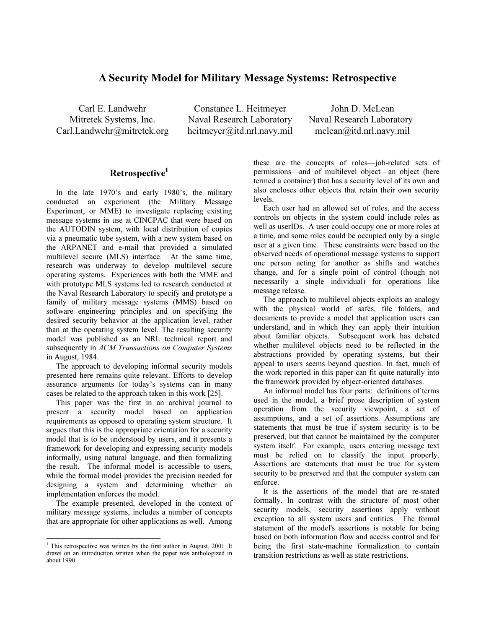# A Security Model for Military Message Systems: Retrospective

Carl.Landwehr@mitretek.org heitmeyer@itd.nrl.navy.mil mclean@itd.nrl.navy.mil

Carl E. Landwehr Constance L. Heitmeyer John D. McLean Mitretek Systems, Inc. Naval Research Laboratory Naval Research Laboratory

# Retrospective<sup>1</sup>

In the late 1970's and early 1980's, the military conducted an experiment (the Military Message Experiment, or MME) to investigate replacing existing message systems in use at CINCPAC that were based on the AUTODIN system, with local distribution of copies via a pneumatic tube system, with a new system based on the ARPANET and e-mail that provided a simulated multilevel secure (MLS) interface. At the same time, research was underway to develop multilevel secure operating systems. Experiences with both the MME and with prototype MLS systems led to research conducted at the Naval Research Laboratory to specify and prototype a family of military message systems (MMS) based on software engineering principles and on specifying the desired security behavior at the application level, rather than at the operating system level. The resulting security model was published as an NRL technical report and subsequently in ACM Transactions on Computer Systems in August, 1984.

The approach to developing informal security models presented here remains quite relevant. Efforts to develop assurance arguments for today's systems can in many cases be related to the approach taken in this work [25].

This paper was the first in an archival journal to present a security model based on application requirements as opposed to operating system structure. It argues that this is the appropriate orientation for a security model that is to be understood by users, and it presents a framework for developing and expressing security models informally, using natural language, and then formalizing the result. The informal model is accessible to users, while the formal model provides the precision needed for designing a system and determining whether an implementation enforces the model.

The example presented, developed in the context of military message systems, includes a number of concepts that are appropriate for other applications as well. Among

these are the concepts of roles—job-related sets of permissions—and of multilevel object—an object (here termed a container) that has a security level of its own and also encloses other objects that retain their own security levels.

Each user had an allowed set of roles, and the access controls on objects in the system could include roles as well as userIDs. A user could occupy one or more roles at a time, and some roles could be occupied only by a single user at a given time. These constraints were based on the observed needs of operational message systems to support one person acting for another as shifts and watches change, and for a single point of control (though not necessarily a single individual) for operations like message release.

The approach to multilevel objects exploits an analogy with the physical world of safes, file folders, and documents to provide a model that application users can understand, and in which they can apply their intuition about familiar objects. Subsequent work has debated whether multilevel objects need to be reflected in the abstractions provided by operating systems, but their appeal to users seems beyond question. In fact, much of the work reported in this paper can fit quite naturally into the framework provided by object-oriented databases.

An informal model has four parts: definitions of terms used in the model, a brief prose description of system operation from the security viewpoint, a set of assumptions, and a set of assertions. Assumptions are statements that must be true if system security is to be preserved, but that cannot be maintained by the computer system itself. For example, users entering message text must be relied on to classify the input properly. Assertions are statements that must be true for system security to be preserved and that the computer system can enforce.

It is the assertions of the model that are re-stated formally. In contrast with the structure of most other security models, security assertions apply without exception to all system users and entities. The formal statement of the model's assertions is notable for being based on both information flow and access control and for being the first state-machine formalization to contain transition restrictions as well as state restrictions.

 1 This retrospective was written by the first author in August, 2001. It draws on an introduction written when the paper was anthologized in about 1990.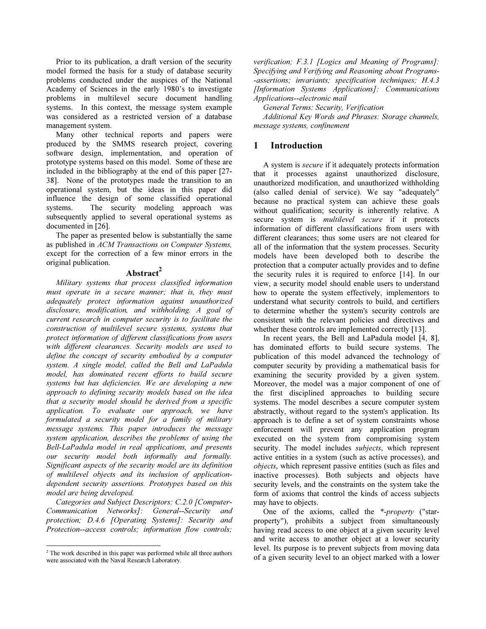Prior to its publication, a draft version of the security model formed the basis for a study of database security problems conducted under the auspices of the National Academy of Sciences in the early 1980's to investigate problems in multilevel secure document handling systems. In this context, the message system example was considered as a restricted version of a database management system.

Many other technical reports and papers were produced by the SMMS research project, covering software design, implementation, and operation of prototype systems based on this model. Some of these are included in the bibliography at the end of this paper [27- 38]. None of the prototypes made the transition to an operational system, but the ideas in this paper did influence the design of some classified operational systems. The security modeling approach was subsequently applied to several operational systems as documented in [26].

The paper as presented below is substantially the same as published in ACM Transactions on Computer Systems, except for the correction of a few minor errors in the original publication.

# Abstract<sup>2</sup>

Military systems that process classified information must operate in a secure manner; that is, they must adequately protect information against unauthorized disclosure, modification, and withholding. A goal of current research in computer security is to facilitate the construction of multilevel secure systems, systems that protect information of different classifications from users with different clearances. Security models are used to define the concept of security embodied by a computer system. A single model, called the Bell and LaPadula model, has dominated recent efforts to build secure systems but has deficiencies. We are developing a new approach to defining security models based on the idea that a security model should be derived from a specific application. To evaluate our approach, we have formulated a security model for a family of military message systems. This paper introduces the message system application, describes the problems of using the Bell-LaPadula model in real applications, and presents our security model both informally and formally. Significant aspects of the security model are its definition of multilevel objects and its inclusion of applicationdependent security assertions. Prototypes based on this model are being developed.

Categories and Subject Descriptors: C.2.0 [Computer-Communication Networks]: General--Security and protection; D.4.6 [Operating Systems]: Security and Protection--access controls; information flow controls;

-

verification; F.3.1 [Logics and Meaning of Programs]: Specifying and Verifying and Reasoning about Programs- -assertions; invariants; specification techniques; H.4.3 [Information Systems Applications]: Communications Applications--electronic mail

General Terms: Security, Verification

Additional Key Words and Phrases: Storage channels, message systems, confinement

# 1 Introduction

A system is *secure* if it adequately protects information that it processes against unauthorized disclosure, unauthorized modification, and unauthorized withholding (also called denial of service). We say "adequately" because no practical system can achieve these goals without qualification; security is inherently relative. A secure system is *multilevel secure* if it protects information of different classifications from users with different clearances; thus some users are not cleared for all of the information that the system processes. Security models have been developed both to describe the protection that a computer actually provides and to define the security rules it is required to enforce [14]. In our view, a security model should enable users to understand how to operate the system effectively, implementors to understand what security controls to build, and certifiers to determine whether the system's security controls are consistent with the relevant policies and directives and whether these controls are implemented correctly [13].

In recent years, the Bell and LaPadula model [4, 8], has dominated efforts to build secure systems. The publication of this model advanced the technology of computer security by providing a mathematical basis for examining the security provided by a given system. Moreover, the model was a major component of one of the first disciplined approaches to building secure systems. The model describes a secure computer system abstractly, without regard to the system's application. Its approach is to define a set of system constraints whose enforcement will prevent any application program executed on the system from compromising system security. The model includes *subjects*, which represent active entities in a system (such as active processes), and objects, which represent passive entities (such as files and inactive processes). Both subjects and objects have security levels, and the constraints on the system take the form of axioms that control the kinds of access subjects may have to objects.

One of the axioms, called the \*-property ("starproperty"), prohibits a subject from simultaneously having read access to one object at a given security level and write access to another object at a lower security level. Its purpose is to prevent subjects from moving data of a given security level to an object marked with a lower

<sup>&</sup>lt;sup>2</sup> The work described in this paper was performed while all three authors were associated with the Naval Research Laboratory.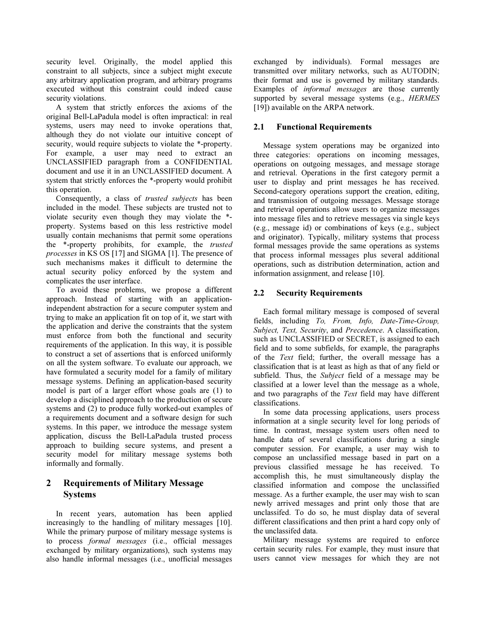security level. Originally, the model applied this constraint to all subjects, since a subject might execute any arbitrary application program, and arbitrary programs executed without this constraint could indeed cause security violations.

A system that strictly enforces the axioms of the original Bell-LaPadula model is often impractical: in real systems, users may need to invoke operations that, although they do not violate our intuitive concept of security, would require subjects to violate the \*-property. For example, a user may need to extract an UNCLASSIFIED paragraph from a CONFIDENTIAL document and use it in an UNCLASSIFIED document. A system that strictly enforces the \*-property would prohibit this operation.

Consequently, a class of *trusted subjects* has been included in the model. These subjects are trusted not to violate security even though they may violate the \* property. Systems based on this less restrictive model usually contain mechanisms that permit some operations the \*-property prohibits, for example, the trusted processes in KS OS [17] and SIGMA [1]. The presence of such mechanisms makes it difficult to determine the actual security policy enforced by the system and complicates the user interface.

To avoid these problems, we propose a different approach. Instead of starting with an applicationindependent abstraction for a secure computer system and trying to make an application fit on top of it, we start with the application and derive the constraints that the system must enforce from both the functional and security requirements of the application. In this way, it is possible to construct a set of assertions that is enforced uniformly on all the system software. To evaluate our approach, we have formulated a security model for a family of military message systems. Defining an application-based security model is part of a larger effort whose goals are (1) to develop a disciplined approach to the production of secure systems and (2) to produce fully worked-out examples of a requirements document and a software design for such systems. In this paper, we introduce the message system application, discuss the Bell-LaPadula trusted process approach to building secure systems, and present a security model for military message systems both informally and formally.

# 2 Requirements of Military Message Systems

In recent years, automation has been applied increasingly to the handling of military messages [10]. While the primary purpose of military message systems is to process formal messages (i.e., official messages exchanged by military organizations), such systems may also handle informal messages (i.e., unofficial messages

exchanged by individuals). Formal messages are transmitted over military networks, such as AUTODIN; their format and use is governed by military standards. Examples of informal messages are those currently supported by several message systems (e.g., HERMES [19]) available on the ARPA network.

# 2.1 Functional Requirements

Message system operations may be organized into three categories: operations on incoming messages, operations on outgoing messages, and message storage and retrieval. Operations in the first category permit a user to display and print messages he has received. Second-category operations support the creation, editing, and transmission of outgoing messages. Message storage and retrieval operations allow users to organize messages into message files and to retrieve messages via single keys (e.g., message id) or combinations of keys (e.g., subject and originator). Typically, military systems that process formal messages provide the same operations as systems that process informal messages plus several additional operations, such as distribution determination, action and information assignment, and release [10].

# 2.2 Security Requirements

Each formal military message is composed of several fields, including To, From, Info, Date-Time-Group, Subject, Text, Security, and Precedence. A classification, such as UNCLASSIFIED or SECRET, is assigned to each field and to some subfields, for example, the paragraphs of the Text field; further, the overall message has a classification that is at least as high as that of any field or subfield. Thus, the *Subject* field of a message may be classified at a lower level than the message as a whole, and two paragraphs of the Text field may have different classifications.

In some data processing applications, users process information at a single security level for long periods of time. In contrast, message system users often need to handle data of several classifications during a single computer session. For example, a user may wish to compose an unclassified message based in part on a previous classified message he has received. To accomplish this, he must simultaneously display the classified information and compose the unclassified message. As a further example, the user may wish to scan newly arrived messages and print only those that are unclassifed. To do so, he must display data of several different classifications and then print a hard copy only of the unclassifed data.

Military message systems are required to enforce certain security rules. For example, they must insure that users cannot view messages for which they are not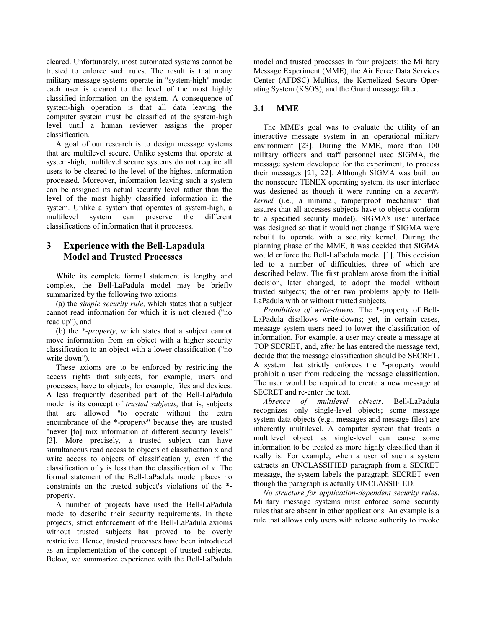cleared. Unfortunately, most automated systems cannot be trusted to enforce such rules. The result is that many military message systems operate in "system-high" mode: each user is cleared to the level of the most highly classified information on the system. A consequence of system-high operation is that all data leaving the computer system must be classified at the system-high level until a human reviewer assigns the proper classification.

A goal of our research is to design message systems that are multilevel secure. Unlike systems that operate at system-high, multilevel secure systems do not require all users to be cleared to the level of the highest information processed. Moreover, information leaving such a system can be assigned its actual security level rather than the level of the most highly classified information in the system. Unlike a system that operates at system-high, a multilevel system can preserve the different classifications of information that it processes.

# 3 Experience with the Bell-Lapadula Model and Trusted Processes

While its complete formal statement is lengthy and complex, the Bell-LaPadula model may be briefly summarized by the following two axioms:

(a) the simple security rule, which states that a subject cannot read information for which it is not cleared ("no read up"), and

(b) the \*-property, which states that a subject cannot move information from an object with a higher security classification to an object with a lower classification ("no write down").

These axioms are to be enforced by restricting the access rights that subjects, for example, users and processes, have to objects, for example, files and devices. A less frequently described part of the Bell-LaPadula model is its concept of trusted subjects, that is, subjects that are allowed "to operate without the extra encumbrance of the \*-property" because they are trusted "never [to] mix information of different security levels" [3]. More precisely, a trusted subject can have simultaneous read access to objects of classification x and write access to objects of classification y, even if the classification of y is less than the classification of x. The formal statement of the Bell-LaPadula model places no constraints on the trusted subject's violations of the \* property.

A number of projects have used the Bell-LaPadula model to describe their security requirements. In these projects, strict enforcement of the Bell-LaPadula axioms without trusted subjects has proved to be overly restrictive. Hence, trusted processes have been introduced as an implementation of the concept of trusted subjects. Below, we summarize experience with the Bell-LaPadula model and trusted processes in four projects: the Military Message Experiment (MME), the Air Force Data Services Center (AFDSC) Multics, the Kernelized Secure Operating System (KSOS), and the Guard message filter.

# 3.1 MME

The MME's goal was to evaluate the utility of an interactive message system in an operational military environment [23]. During the MME, more than 100 military officers and staff personnel used SIGMA, the message system developed for the experiment, to process their messages [21, 22]. Although SIGMA was built on the nonsecure TENEX operating system, its user interface was designed as though it were running on a *security* kernel (i.e., a minimal, tamperproof mechanism that assures that all accesses subjects have to objects conform to a specified security model). SIGMA's user interface was designed so that it would not change if SIGMA were rebuilt to operate with a security kernel. During the planning phase of the MME, it was decided that SIGMA would enforce the Bell-LaPadula model [1]. This decision led to a number of difficulties, three of which are described below. The first problem arose from the initial decision, later changed, to adopt the model without trusted subjects; the other two problems apply to Bell-LaPadula with or without trusted subjects.

Prohibition of write-downs. The \*-property of Bell-LaPadula disallows write-downs; yet, in certain cases, message system users need to lower the classification of information. For example, a user may create a message at TOP SECRET, and, after he has entered the message text, decide that the message classification should be SECRET. A system that strictly enforces the \*-property would prohibit a user from reducing the message classification. The user would be required to create a new message at SECRET and re-enter the text.

Absence of multilevel objects. Bell-LaPadula recognizes only single-level objects; some message system data objects (e.g., messages and message files) are inherently multilevel. A computer system that treats a multilevel object as single-level can cause some information to be treated as more highly classified than it really is. For example, when a user of such a system extracts an UNCLASSIFIED paragraph from a SECRET message, the system labels the paragraph SECRET even though the paragraph is actually UNCLASSIFIED.

No structure for application-dependent security rules. Military message systems must enforce some security rules that are absent in other applications. An example is a rule that allows only users with release authority to invoke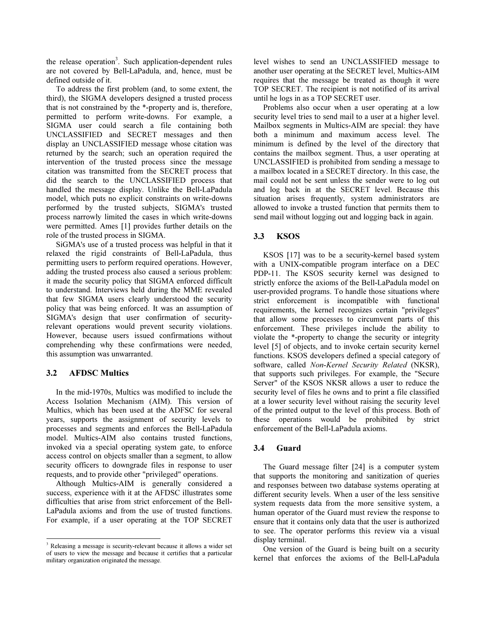the release operation<sup>3</sup>. Such application-dependent rules are not covered by Bell-LaPadula, and, hence, must be defined outside of it.

To address the first problem (and, to some extent, the third), the SIGMA developers designed a trusted process that is not constrained by the \*-property and is, therefore, permitted to perform write-downs. For example, a SIGMA user could search a file containing both UNCLASSIFIED and SECRET messages and then display an UNCLASSIFIED message whose citation was returned by the search; such an operation required the intervention of the trusted process since the message citation was transmitted from the SECRET process that did the search to the UNCLASSIFIED process that handled the message display. Unlike the Bell-LaPadula model, which puts no explicit constraints on write-downs performed by the trusted subjects, SIGMA's trusted process narrowly limited the cases in which write-downs were permitted. Ames [1] provides further details on the role of the trusted process in SIGMA.

SiGMA's use of a trusted process was helpful in that it relaxed the rigid constraints of Bell-LaPadula, thus permitting users to perform required operations. However, adding the trusted process also caused a serious problem: it made the security policy that SIGMA enforced difficult to understand. Interviews held during the MME revealed that few SIGMA users clearly understood the security policy that was being enforced. It was an assumption of SIGMA's design that user confirmation of securityrelevant operations would prevent security violations. However, because users issued confirmations without comprehending why these confirmations were needed, this assumption was unwarranted.

# 3.2 AFDSC Multics

In the mid-1970s, Multics was modified to include the Access Isolation Mechanism (AIM). This version of Multics, which has been used at the ADFSC for several years, supports the assignment of security levels to processes and segments and enforces the Bell-LaPadula model. Multics-AIM also contains trusted functions, invoked via a special operating system gate, to enforce access control on objects smaller than a segment, to allow security officers to downgrade files in response to user requests, and to provide other "privileged" operations.

Although Multics-AIM is generally considered a success, experience with it at the AFDSC illustrates some difficulties that arise from strict enforcement of the Bell-LaPadula axioms and from the use of trusted functions. For example, if a user operating at the TOP SECRET

level wishes to send an UNCLASSIFIED message to another user operating at the SECRET level, Multics-AIM requires that the message be treated as though it were TOP SECRET. The recipient is not notified of its arrival until he logs in as a TOP SECRET user.

Problems also occur when a user operating at a low security level tries to send mail to a user at a higher level. Mailbox segments in Multics-AIM are special: they have both a minimum and maximum access level. The minimum is defined by the level of the directory that contains the mailbox segment. Thus, a user operating at UNCLASSIFIED is prohibited from sending a message to a mailbox located in a SECRET directory. In this case, the mail could not be sent unless the sender were to log out and log back in at the SECRET level. Because this situation arises frequently, system administrators are allowed to invoke a trusted function that permits them to send mail without logging out and logging back in again.

# 3.3 KSOS

KSOS [17] was to be a security-kernel based system with a UNIX-compatible program interface on a DEC PDP-11. The KSOS security kernel was designed to strictly enforce the axioms of the Bell-LaPadula model on user-provided programs. To handle those situations where strict enforcement is incompatible with functional requirements, the kernel recognizes certain "privileges" that allow some processes to circumvent parts of this enforcement. These privileges include the ability to violate the \*-property to change the security or integrity level [5] of objects, and to invoke certain security kernel functions. KSOS developers defined a special category of software, called Non-Kernel Security Related (NKSR), that supports such privileges. For example, the "Secure Server" of the KSOS NKSR allows a user to reduce the security level of files he owns and to print a file classified at a lower security level without raising the security level of the printed output to the level of this process. Both of these operations would be prohibited by strict enforcement of the Bell-LaPadula axioms.

# 3.4 Guard

The Guard message filter [24] is a computer system that supports the monitoring and sanitization of queries and responses between two database systems operating at different security levels. When a user of the less sensitive system requests data from the more sensitive system, a human operator of the Guard must review the response to ensure that it contains only data that the user is authorized to see. The operator performs this review via a visual display terminal.

One version of the Guard is being built on a security kernel that enforces the axioms of the Bell-LaPadula

**EXECUTE:**<br><sup>3</sup> Releasing a message is security-relevant because it allows a wider set of users to view the message and because it certifies that a particular military organization originated the message.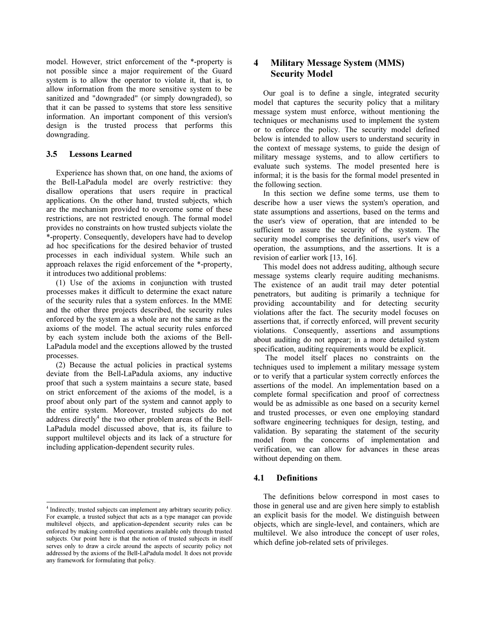model. However, strict enforcement of the \*-property is not possible since a major requirement of the Guard system is to allow the operator to violate it, that is, to allow information from the more sensitive system to be sanitized and "downgraded" (or simply downgraded), so that it can be passed to systems that store less sensitive information. An important component of this version's design is the trusted process that performs this downgrading.

### 3.5 Lessons Learned

Experience has shown that, on one hand, the axioms of the Bell-LaPadula model are overly restrictive: they disallow operations that users require in practical applications. On the other hand, trusted subjects, which are the mechanism provided to overcome some of these restrictions, are not restricted enough. The formal model provides no constraints on how trusted subjects violate the \*-property. Consequently, developers have had to develop ad hoc specifications for the desired behavior of trusted processes in each individual system. While such an approach relaxes the rigid enforcement of the \*-property, it introduces two additional problems:

(1) Use of the axioms in conjunction with trusted processes makes it difficult to determine the exact nature of the security rules that a system enforces. In the MME and the other three projects described, the security rules enforced by the system as a whole are not the same as the axioms of the model. The actual security rules enforced by each system include both the axioms of the Bell-LaPadula model and the exceptions allowed by the trusted processes.

(2) Because the actual policies in practical systems deviate from the Bell-LaPadula axioms, any inductive proof that such a system maintains a secure state, based on strict enforcement of the axioms of the model, is a proof about only part of the system and cannot apply to the entire system. Moreover, trusted subjects do not address directly<sup>4</sup> the two other problem areas of the Bell-LaPadula model discussed above, that is, its failure to support multilevel objects and its lack of a structure for including application-dependent security rules.

-

# 4 Military Message System (MMS) Security Model

Our goal is to define a single, integrated security model that captures the security policy that a military message system must enforce, without mentioning the techniques or mechanisms used to implement the system or to enforce the policy. The security model defined below is intended to allow users to understand security in the context of message systems, to guide the design of military message systems, and to allow certifiers to evaluate such systems. The model presented here is informal; it is the basis for the formal model presented in the following section.

In this section we define some terms, use them to describe how a user views the system's operation, and state assumptions and assertions, based on the terms and the user's view of operation, that are intended to be sufficient to assure the security of the system. The security model comprises the definitions, user's view of operation, the assumptions, and the assertions. It is a revision of earlier work [13, 16].

This model does not address auditing, although secure message systems clearly require auditing mechanisms. The existence of an audit trail may deter potential penetrators, but auditing is primarily a technique for providing accountability and for detecting security violations after the fact. The security model focuses on assertions that, if correctly enforced, will prevent security violations. Consequently, assertions and assumptions about auditing do not appear; in a more detailed system specification, auditing requirements would be explicit.

 The model itself places no constraints on the techniques used to implement a military message system or to verify that a particular system correctly enforces the assertions of the model. An implementation based on a complete formal specification and proof of correctness would be as admissible as one based on a security kernel and trusted processes, or even one employing standard software engineering techniques for design, testing, and validation. By separating the statement of the security model from the concerns of implementation and verification, we can allow for advances in these areas without depending on them.

### 4.1 Definitions

The definitions below correspond in most cases to those in general use and are given here simply to establish an explicit basis for the model. We distinguish between objects, which are single-level, and containers, which are multilevel. We also introduce the concept of user roles, which define job-related sets of privileges.

<sup>4</sup> Indirectly, trusted subjects can implement any arbitrary security policy. For example, a trusted subject that acts as a type manager can provide multilevel objects, and application-dependent security rules can be enforced by making controlled operations available only through trusted subjects. Our point here is that the notion of trusted subjects in itself serves only to draw a circle around the aspects of security policy not addressed by the axioms of the Bell-LaPadula model. It does not provide any framework for formulating that policy.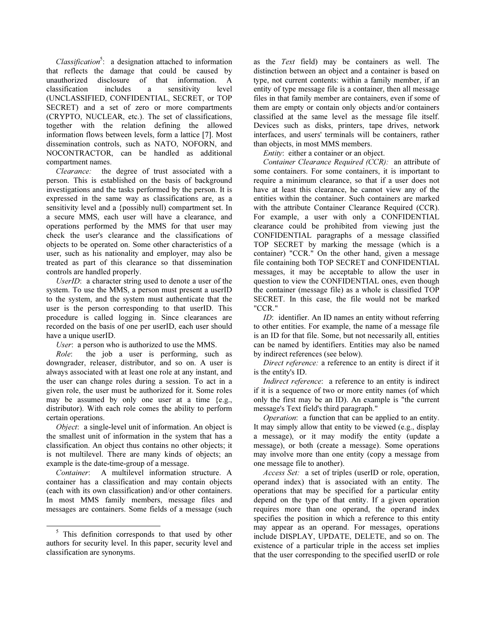Classification<sup>5</sup>: a designation attached to information that reflects the damage that could be caused by unauthorized disclosure of that information. A classification includes a sensitivity level (UNCLASSIFIED, CONFIDENTIAL, SECRET, or TOP SECRET) and a set of zero or more compartments (CRYPTO, NUCLEAR, etc.). The set of classifications, together with the relation defining the allowed information flows between levels, form a lattice [7]. Most dissemination controls, such as NATO, NOFORN, and NOCONTRACTOR, can be handled as additional compartment names.

Clearance: the degree of trust associated with a person. This is established on the basis of background investigations and the tasks performed by the person. It is expressed in the same way as classifications are, as a sensitivity level and a {possibly null) compartment set. In a secure MMS, each user will have a clearance, and operations performed by the MMS for that user may check the user's clearance and the classifications of objects to be operated on. Some other characteristics of a user, such as his nationality and employer, may also be treated as part of this clearance so that dissemination controls are handled properly.

UserID: a character string used to denote a user of the system. To use the MMS, a person must present a userID to the system, and the system must authenticate that the user is the person corresponding to that userID. This procedure is called logging in. Since clearances are recorded on the basis of one per userID, each user should have a unique userID.

User: a person who is authorized to use the MMS.

Role: the job a user is performing, such as downgrader, releaser, distributor, and so on. A user is always associated with at least one role at any instant, and the user can change roles during a session. To act in a given role, the user must be authorized for it. Some roles may be assumed by only one user at a time {e.g., distributor). With each role comes the ability to perform certain operations.

Object: a single-level unit of information. An object is the smallest unit of information in the system that has a classification. An object thus contains no other objects; it is not multilevel. There are many kinds of objects; an example is the date-time-group of a message.

Container: A multilevel information structure. A container has a classification and may contain objects (each with its own classification) and/or other containers. In most MMS family members, message files and messages are containers. Some fields of a message (such as the Text field) may be containers as well. The distinction between an object and a container is based on type, not current contents: within a family member, if an entity of type message file is a container, then all message files in that family member are containers, even if some of them are empty or contain only objects and/or containers classified at the same level as the message file itself. Devices such as disks, printers, tape drives, network interfaces, and users' terminals will be containers, rather than objects, in most MMS members.

Entity: either a container or an object.

Container Clearance Required (CCR): an attribute of some containers. For some containers, it is important to require a minimum clearance, so that if a user does not have at least this clearance, he cannot view any of the entities within the container. Such containers are marked with the attribute Container Clearance Required (CCR). For example, a user with only a CONFIDENTIAL clearance could be prohibited from viewing just the CONFIDENTIAL paragraphs of a message classified TOP SECRET by marking the message (which is a container) "CCR." On the other hand, given a message file containing both TOP SECRET and CONFIDENTIAL messages, it may be acceptable to allow the user in question to view the CONFIDENTIAL ones, even though the container (message file) as a whole is classified TOP SECRET. In this case, the file would not be marked "CCR."

ID: identifier. An ID names an entity without referring to other entities. For example, the name of a message file is an ID for that file. Some, but not necessarily all, entities can be named by identifiers. Entities may also be named by indirect references (see below).

Direct reference: a reference to an entity is direct if it is the entity's ID.

Indirect reference: a reference to an entity is indirect if it is a sequence of two or more entity names (of which only the first may be an ID). An example is "the current message's Text field's third paragraph."

Operation: a function that can be applied to an entity. It may simply allow that entity to be viewed (e.g., display a message), or it may modify the entity (update a message), or both (create a message). Some operations may involve more than one entity (copy a message from one message file to another).

Access Set: a set of triples (userID or role, operation, operand index) that is associated with an entity. The operations that may be specified for a particular entity depend on the type of that entity. If a given operation requires more than one operand, the operand index specifies the position in which a reference to this entity may appear as an operand. For messages, operations include DISPLAY, UPDATE, DELETE, and so on. The existence of a particular triple in the access set implies that the user corresponding to the specified userID or role

<sup>&</sup>lt;sup>5</sup> This definition corresponds to that used by other authors for security level. In this paper, security level and classification are synonyms.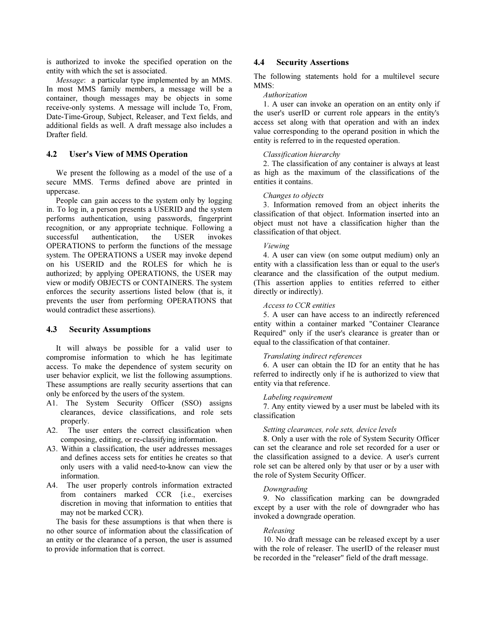is authorized to invoke the specified operation on the entity with which the set is associated.

Message: a particular type implemented by an MMS. In most MMS family members, a message will be a container, though messages may be objects in some receive-only systems. A message will include To, From, Date-Time-Group, Subject, Releaser, and Text fields, and additional fields as well. A draft message also includes a Drafter field.

### 4.2 User's View of MMS Operation

We present the following as a model of the use of a secure MMS. Terms defined above are printed in uppercase.

People can gain access to the system only by logging in. To log in, a person presents a USERID and the system performs authentication, using passwords, fingerprint recognition, or any appropriate technique. Following a successful authentication, the USER invokes OPERATIONS to perform the functions of the message system. The OPERATIONS a USER may invoke depend on his USERID and the ROLES for which he is authorized; by applying OPERATIONS, the USER may view or modify OBJECTS or CONTAINERS. The system enforces the security assertions listed below (that is, it prevents the user from performing OPERATIONS that would contradict these assertions).

### 4.3 Security Assumptions

It will always be possible for a valid user to compromise information to which he has legitimate access. To make the dependence of system security on user behavior explicit, we list the following assumptions. These assumptions are really security assertions that can only be enforced by the users of the system.

- A1. The System Security Officer (SSO) assigns clearances, device classifications, and role sets properly.
- A2. The user enters the correct classification when composing, editing, or re-classifying information.
- A3. Within a classification, the user addresses messages and defines access sets for entities he creates so that only users with a valid need-to-know can view the information.
- A4. The user properly controls information extracted from containers marked CCR {i.e., exercises discretion in moving that information to entities that may not be marked CCR).

The basis for these assumptions is that when there is no other source of information about the classification of an entity or the clearance of a person, the user is assumed to provide information that is correct.

#### 4.4 Security Assertions

The following statements hold for a multilevel secure MMS:

#### Authorization

1. A user can invoke an operation on an entity only if the user's userID or current role appears in the entity's access set along with that operation and with an index value corresponding to the operand position in which the entity is referred to in the requested operation.

#### Classification hierarchy

2. The classification of any container is always at least as high as the maximum of the classifications of the entities it contains.

### Changes to objects

3. Information removed from an object inherits the classification of that object. Information inserted into an object must not have a classification higher than the classification of that object.

#### Viewing

4. A user can view (on some output medium) only an entity with a classification less than or equal to the user's clearance and the classification of the output medium. (This assertion applies to entities referred to either directly or indirectly).

#### Access to CCR entities

5. A user can have access to an indirectly referenced entity within a container marked "Container Clearance Required" only if the user's clearance is greater than or equal to the classification of that container.

#### Translating indirect references

6. A user can obtain the ID for an entity that he has referred to indirectly only if he is authorized to view that entity via that reference.

#### Labeling requirement

7. Any entity viewed by a user must be labeled with its classification

#### Setting clearances, role sets, device levels

8. Only a user with the role of System Security Officer can set the clearance and role set recorded for a user or the classification assigned to a device. A user's current role set can be altered only by that user or by a user with the role of System Security Officer.

#### Downgrading

9. No classification marking can be downgraded except by a user with the role of downgrader who has invoked a downgrade operation.

### Releasing

10. No draft message can be released except by a user with the role of releaser. The userID of the releaser must be recorded in the "releaser" field of the draft message.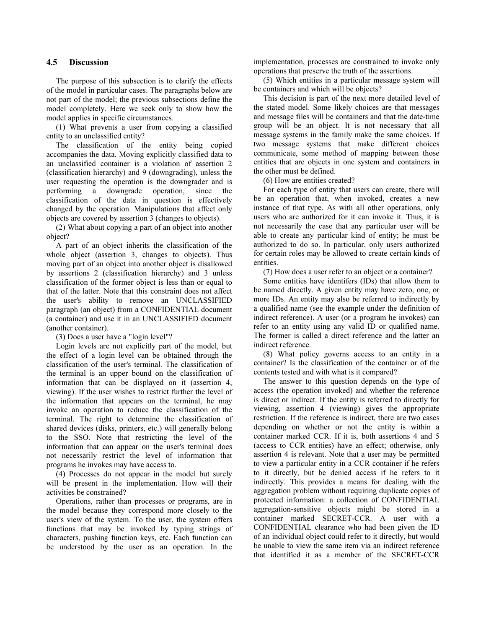#### 4.5 Discussion

The purpose of this subsection is to clarify the effects of the model in particular cases. The paragraphs below are not part of the model; the previous subsections define the model completely. Here we seek only to show how the model applies in specific circumstances.

(1) What prevents a user from copying a classified entity to an unclassified entity?

The classification of the entity being copied accompanies the data. Moving explicitly classified data to an unclassified container is a violation of assertion 2 (classification hierarchy) and 9 (downgrading), unless the user requesting the operation is the downgrader and is performing a downgrade operation, since the classification of the data in question is effectively changed by the operation. Manipulations that affect only objects are covered by assertion 3 (changes to objects).

(2) What about copying a part of an object into another object?

A part of an object inherits the classification of the whole object (assertion 3, changes to objects). Thus moving part of an object into another object is disallowed by assertions 2 (classification hierarchy) and 3 unless classification of the former object is less than or equal to that of the latter. Note that this constraint does not affect the user's ability to remove an UNCLASSIFIED paragraph (an object) from a CONFIDENTIAL document (a container) and use it in an UNCLASSIFIED document (another container).

(3) Does a user have a "login level"?

Login levels are not explicitly part of the model, but the effect of a login level can be obtained through the classification of the user's terminal. The classification of the terminal is an upper bound on the classification of information that can be displayed on it (assertion 4, viewing). If the user wishes to restrict further the level of the information that appears on the terminal, he may invoke an operation to reduce the classification of the terminal. The right to determine the classification of shared devices (disks, printers, etc.) will generally belong to the SSO. Note that restricting the level of the information that can appear on the user's terminal does not necessarily restrict the level of information that programs he invokes may have access to.

(4) Processes do not appear in the model but surely will be present in the implementation. How will their activities be constrained?

Operations, rather than processes or programs, are in the model because they correspond more closely to the user's view of the system. To the user, the system offers functions that may be invoked by typing strings of characters, pushing function keys, etc. Each function can be understood by the user as an operation. In the

implementation, processes are constrained to invoke only operations that preserve the truth of the assertions.

(5) Which entities in a particular message system will be containers and which will be objects?

This decision is part of the next more detailed level of the stated model. Some likely choices are that messages and message files will be containers and that the date-time group will be an object. It is not necessary that all message systems in the family make the same choices. If two message systems that make different choices communicate, some method of mapping between those entities that are objects in one system and containers in the other must be defined.

(6) How are entities created?

For each type of entity that users can create, there will be an operation that, when invoked, creates a new instance of that type. As with all other operations, only users who are authorized for it can invoke it. Thus, it is not necessarily the case that any particular user will be able to create any particular kind of entity; he must be authorized to do so. In particular, only users authorized for certain roles may be allowed to create certain kinds of entities.

(7) How does a user refer to an object or a container?

Some entities have identifers (IDs) that allow them to be named directly. A given entity may have zero, one, or more IDs. An entity may also be referred to indirectly by a qualified name (see the example under the definition of indirect reference). A user (or a program he invokes) can refer to an entity using any valid ID or qualified name. The former is called a direct reference and the latter an indirect reference.

(8) What policy governs access to an entity in a container? Is the classification of the container or of the contents tested and with what is it compared?

The answer to this question depends on the type of access (the operation invoked) and whether the reference is direct or indirect. If the entity is referred to directly for viewing, assertion 4 (viewing) gives the appropriate restriction. If the reference is indirect, there are two cases depending on whether or not the entity is within a container marked CCR. If it is, both assertions 4 and 5 (access to CCR entities) have an effect; otherwise, only assertion 4 is relevant. Note that a user may be permitted to view a particular entity in a CCR container if he refers to it directly, but be denied access if he refers to it indirectly. This provides a means for dealing with the aggregation problem without requiring duplicate copies of protected information: a collection of CONFIDENTIAL aggregation-sensitive objects might be stored in a container marked SECRET-CCR. A user with a CONFIDENTIAL clearance who had been given the ID of an individual object could refer to it directly, but would be unable to view the same item via an indirect reference that identified it as a member of the SECRET-CCR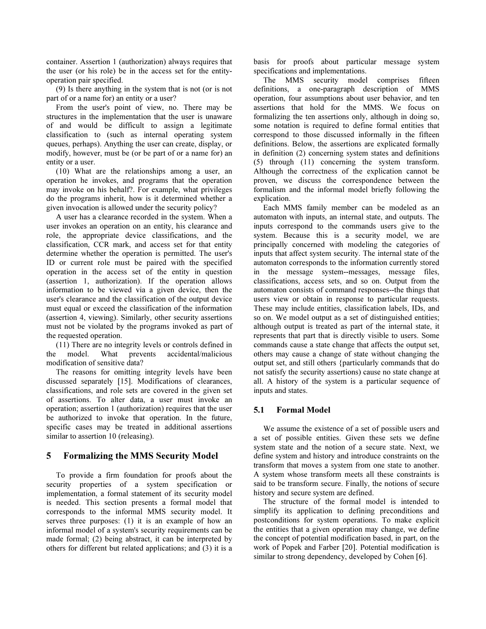container. Assertion 1 (authorization) always requires that the user (or his role) be in the access set for the entityoperation pair specified.

(9) Is there anything in the system that is not (or is not part of or a name for) an entity or a user?

From the user's point of view, no. There may be structures in the implementation that the user is unaware of and would be difficult to assign a legitimate classification to (such as internal operating system queues, perhaps). Anything the user can create, display, or modify, however, must be (or be part of or a name for) an entity or a user.

(10) What are the relationships among a user, an operation he invokes, and programs that the operation may invoke on his behalf?. For example, what privileges do the programs inherit, how is it determined whether a given invocation is allowed under the security policy?

A user has a clearance recorded in the system. When a user invokes an operation on an entity, his clearance and role, the appropriate device classifications, and the classification, CCR mark, and access set for that entity determine whether the operation is permitted. The user's ID or current role must be paired with the specified operation in the access set of the entity in question (assertion 1, authorization). If the operation allows information to be viewed via a given device, then the user's clearance and the classification of the output device must equal or exceed the classification of the information (assertion 4, viewing). Similarly, other security assertions must not be violated by the programs invoked as part of the requested operation.

(11) There are no integrity levels or controls defined in the model. What prevents accidental/malicious modification of sensitive data?

The reasons for omitting integrity levels have been discussed separately [15]. Modifications of clearances, classifications, and role sets are covered in the given set of assertions. To alter data, a user must invoke an operation; assertion 1 (authorization) requires that the user be authorized to invoke that operation. In the future, specific cases may be treated in additional assertions similar to assertion 10 (releasing).

# 5 Formalizing the MMS Security Model

To provide a firm foundation for proofs about the security properties of a system specification or implementation, a formal statement of its security model is needed. This section presents a formal model that corresponds to the informal MMS security model. It serves three purposes: (1) it is an example of how an informal model of a system's security requirements can be made formal; (2) being abstract, it can be interpreted by others for different but related applications; and (3) it is a basis for proofs about particular message system specifications and implementations.

The MMS security model comprises fifteen definitions, a one-paragraph description of MMS operation, four assumptions about user behavior, and ten assertions that hold for the MMS. We focus on formalizing the ten assertions only, although in doing so, some notation is required to define formal entities that correspond to those discussed informally in the fifteen definitions. Below, the assertions are explicated formally in definition (2) concerning system states and definitions (5) through (11) concerning the system transform. Although the correctness of the explication cannot be proven, we discuss the correspondence between the formalism and the informal model briefly following the explication.

Each MMS family member can be modeled as an automaton with inputs, an internal state, and outputs. The inputs correspond to the commands users give to the system. Because this is a security model, we are principally concerned with modeling the categories of inputs that affect system security. The internal state of the automaton corresponds to the information currently stored in the message system--messages, message files, classifications, access sets, and so on. Output from the automaton consists of command responses--the things that users view or obtain in response to particular requests. These may include entities, classification labels, IDs, and so on. We model output as a set of distinguished entities; although output is treated as part of the internal state, it represents that part that is directly visible to users. Some commands cause a state change that affects the output set, others may cause a change of state without changing the output set, and still others {particularly commands that do not satisfy the security assertions) cause no state change at all. A history of the system is a particular sequence of inputs and states.

### 5.1 Formal Model

We assume the existence of a set of possible users and a set of possible entities. Given these sets we define system state and the notion of a secure state. Next, we define system and history and introduce constraints on the transform that moves a system from one state to another. A system whose transform meets all these constraints is said to be transform secure. Finally, the notions of secure history and secure system are defined.

The structure of the formal model is intended to simplify its application to defining preconditions and postconditions for system operations. To make explicit the entities that a given operation may change, we define the concept of potential modification based, in part, on the work of Popek and Farber [20]. Potential modification is similar to strong dependency, developed by Cohen [6].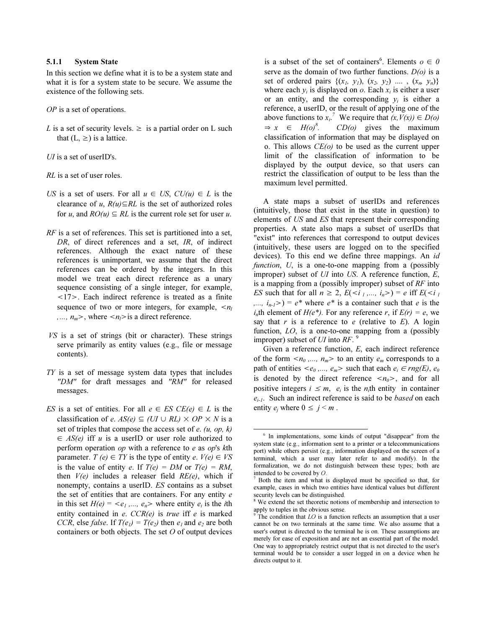#### 5.1.1 System State

In this section we define what it is to be a system state and what it is for a system state to be secure. We assume the existence of the following sets.

- OP is a set of operations.
- L is a set of security levels.  $\geq$  is a partial order on L such that  $(L, \geq)$  is a lattice.
- $UI$  is a set of userID's.
- RL is a set of user roles.
- US is a set of users. For all  $u \in US$ ,  $CU(u) \in L$  is the clearance of u,  $R(u) \subseteq RL$  is the set of authorized roles for u, and  $RO(u) \subseteq RL$  is the current role set for user u.
- RF is a set of references. This set is partitioned into a set, DR, of direct references and a set, IR, of indirect references. Although the exact nature of these references is unimportant, we assume that the direct references can be ordered by the integers. In this model we treat each direct reference as a unary sequence consisting of a single integer, for example, <17>. Each indirect reference is treated as a finite sequence of two or more integers, for example,  $\langle n_l \rangle$ ,...,  $n_m$ , where  $\langle n_l \rangle$  is a direct reference.
- VS is a set of strings (bit or character). These strings serve primarily as entity values (e.g., file or message contents).
- TY is a set of message system data types that includes "DM" for draft messages and "RM" for released messages.
- ES is a set of entities. For all  $e \in ES$  CE(e)  $\in L$  is the classification of e.  $AS(e) \subseteq (UI \cup RL) \times OP \times N$  is a set of triples that compose the access set of  $e$ . (*u*, *op*, *k*)  $\in AS(e)$  iff u is a userID or user role authorized to perform operation op with a reference to e as op's kth parameter.  $T(e) \in TY$  is the type of entity  $e$ .  $V(e) \in VS$ is the value of entity e. If  $T(e) = DM$  or  $T(e) = RM$ , then  $V(e)$  includes a releaser field  $RE(e)$ , which if nonempty, contains a userID. ES contains as a subset the set of entities that are containers. For any entity  $e$ in this set  $H(e) = \langle e_1, \dots, e_n \rangle$  where entity  $e_i$  is the *i*th entity contained in  $e$ .  $CCR(e)$  is *true* iff  $e$  is marked *CCR*, else *false*. If  $T(e_1) = T(e_2)$  then  $e_1$  and  $e_2$  are both containers or both objects. The set  $O$  of output devices

is a subset of the set of containers<sup>6</sup>. Elements  $o \in \theta$ serve as the domain of two further functions.  $D(\rho)$  is a set of ordered pairs  $\{(x_1, y_1), (x_2, y_2), \dots, (x_n, y_n)\}\$ where each  $y_i$  is displayed on o. Each  $x_i$  is either a user or an entity, and the corresponding  $y_i$  is either a reference, a userID, or the result of applying one of the above functions to  $x_i$ <sup>7</sup> We require that  $(x, V(x)) \in D(o)$  $\Rightarrow x \in H(o)^8$  $CD(o)$  gives the maximum classification of information that may be displayed on o. This allows  $CE(o)$  to be used as the current upper limit of the classification of information to be displayed by the output device, so that users can restrict the classification of output to be less than the maximum level permitted.

A state maps a subset of userIDs and references (intuitively, those that exist in the state in question) to elements of US and ES that represent their corresponding properties. A state also maps a subset of userIDs that "exist" into references that correspond to output devices (intuitively, these users are logged on to the specified devices). To this end we define three mappings. An id function,  $U$ , is a one-to-one mapping from a (possibly improper) subset of  $UI$  into  $US$ . A reference function,  $E$ , is a mapping from a (possibly improper) subset of  $RF$  into ES such that for all  $n \geq 2$ ,  $E(\langle i_1, ..., i_n \rangle) = e$  iff  $E(\langle i_1 \rangle)$ ,...,  $i_{n-1}$  >  $) = e^*$  where  $e^*$  is a container such that e is the *i<sub>n</sub>*th element of  $H(e^*)$ . For any reference *r*, if  $E(r) = e$ , we say that r is a reference to  $e$  (relative to  $E$ ). A login function, LO, is a one-to-one mapping from a (possibly improper) subset of  $UI$  into  $RF$ .

Given a reference function, E, each indirect reference of the form  $\langle n_0, ..., n_m \rangle$  to an entity  $e_m$  corresponds to a path of entities  $\langle e_0, ..., e_m \rangle$  such that each  $e_i \in rng(E), e_0$ is denoted by the direct reference  $\langle n_0 \rangle$ , and for all positive integers  $i \leq m$ ,  $e_i$  is the  $n_i$ th entity in container  $e_{i-l}$ . Such an indirect reference is said to be *based* on each entity  $e_j$  where  $0 \le j \le m$ .

 $6$  In implementations, some kinds of output "disappear" from the system state (e.g., information sent to a printer or a telecommunications port) while others persist (e.g., information displayed on the screen of a terminal, which a user may later refer to and modify). In the formalization, we do not distinguish between these types; both are intended to be covered by  $O$ .

Both the item and what is displayed must be specified so that, for example, cases in which two entities have identical values but different security levels can be distinguished.

<sup>&</sup>lt;sup>8</sup> We extend the set theoretic notions of membership and intersection to apply to tuples in the obvious sense.

The condition that LO is a function reflects an assumption that a user cannot be on two terminals at the same time. We also assume that a user's output is directed to the terminal he is on. These assumptions are merely for ease of exposition and are not an essential part of the model. One way to appropriately restrict output that is not directed to the user's terminal would be to consider a user logged in on a device when he directs output to it.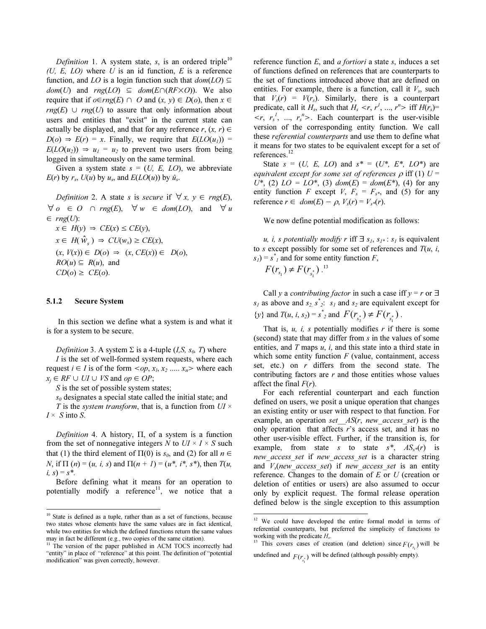Definition 1. A system state, s, is an ordered triple<sup>10</sup>  $(U, E, LO)$  where U is an id function, E is a reference function, and LO is a login function such that  $dom(LO) \subseteq$  $dom(U)$  and  $rng(LO) \subseteq dom(E\cap (RF\times O))$ . We also require that if  $o\in rng(E) \cap O$  and  $(x, y) \in D(o)$ , then  $x \in$  $rng(E)$  ∪  $rng(U)$  to assure that only information about users and entities that "exist" in the current state can actually be displayed, and that for any reference  $r, (x, r) \in$  $D(o) \Rightarrow E(r) = x$ . Finally, we require that  $E(LO(u_1)) =$  $E(LO(u_2)) \Rightarrow u_1 = u_2$  to prevent two users from being logged in simultaneously on the same terminal.

Given a system state  $s = (U, E, LO)$ , we abbreviate  $E(r)$  by  $r_s$ ,  $U(u)$  by  $u_s$ , and  $E(LO(u))$  by  $\hat{u}_s$ .

Definition 2. A state s is secure if  $\forall x, y \in rng(E)$ ,  $\forall o \in O$   $\cap$  rng(E),  $\forall w \in dom(LO)$ , and  $\forall u$  $\in rng(U):$  $x \in H(y) \Rightarrow CE(x) \leq CE(y),$ 

 $x \in H(\hat{w}_s) \Rightarrow CU(w_s) \geq CE(x),$  $(x, V(x)) \in D(o) \Rightarrow (x, CE(x)) \in D(o),$  $RO(u) \subseteq R(u)$ , and  $CD(o) \geq CE(o).$ 

#### 5.1.2 Secure System

1

 In this section we define what a system is and what it is for a system to be secure.

Definition 3. A system  $\Sigma$  is a 4-tuple (*I,S, s<sub>0</sub>, T*) where  $I$  is the set of well-formed system requests, where each request  $i \in I$  is of the form  $\langle op, x_i, x_2, ..., x_n \rangle$  where each  $x_i \in RF \cup UI \cup VS$  and  $op \in OP$ ;

S is the set of possible system states;

 $s_0$  designates a special state called the initial state; and T is the *system transform*, that is, a function from  $UI \times$  $I \times S$  into S.

Definition 4. A history,  $\Pi$ , of a system is a function from the set of nonnegative integers N to  $UI \times I \times S$  such that (1) the third element of  $\Pi(0)$  is  $s_0$ , and (2) for all  $n \in$ N, if  $\Pi(n) = (u, i, s)$  and  $\Pi(n + 1) = (u^*, i^*, s^*)$ , then  $T(u, t)$ i,  $s = s^*$ .

Before defining what it means for an operation to potentially modify a reference<sup>11</sup>, we notice that a reference function  $E$ , and  $a$  fortiori a state  $s$ , induces a set of functions defined on references that are counterparts to the set of functions introduced above that are defined on entities. For example, there is a function, call it  $V_s$ , such that  $V_s(r) = V(r_s)$ . Similarly, there is a counterpart predicate, call it  $H_s$ , such that  $H_s < r, r^l, ..., r^n >$  iff  $H(r_s) =$  $\langle r, r_s^{\prime}, ..., r_s^{\prime\prime}\rangle$ . Each counterpart is the user-visible version of the corresponding entity function. We call these referential counterparts and use them to define what it means for two states to be equivalent except for a set of references.<sup>12</sup>

State  $s = (U, E, LO)$  and  $s^* = (U^*, E^*, LO^*)$  are equivalent except for some set of references  $\rho$  iff (1)  $U =$  $U^*$ , (2)  $LO = LO^*$ , (3)  $dom(E) = dom(E^*)$ , (4) for any entity function F except V,  $F_s = F_{s*}$ , and (5) for any reference  $r \in dom(E) - \rho$ ,  $V_s(r) = V_{s^*}(r)$ .

We now define potential modification as follows:

u, i, s potentially modify r iff  $\exists s_1, s_1 \in s_1$  is equivalent to s except possibly for some set of references and  $T(u, i, j)$  $s_1$ ) =  $s^*$ <sub>1</sub> and for some entity function F,

 $F(r_{s_1}) \neq F(r_{s_1^*})$ .<sup>13</sup>

 $\overline{a}$ 

Call y a *contributing factor* in such a case iff  $y = r$  or  $\exists$  $s_1$  as above and  $s_2$ ,  $s^*_{2}$ :  $s_1$  and  $s_2$  are equivalent except for {*y*} and  $T(u, i, s_2) = s_{2}^{*}$  and  $F(r_{s_2}^{*}) \neq F(r_{s_1}^{*})$ .

That is,  $u$ ,  $i$ ,  $s$  potentially modifies  $r$  if there is some (second) state that may differ from s in the values of some entities, and  $T$  maps  $u$ ,  $i$ , and this state into a third state in which some entity function  $F$  (value, containment, access set, etc.) on  $r$  differs from the second state. The contributing factors are  $r$  and those entities whose values affect the final  $F(r)$ .

For each referential counterpart and each function defined on users, we posit a unique operation that changes an existing entity or user with respect to that function. For example, an operation set  $AS(r, new\_access_set)$  is the only operation that affects r's access set, and it has no other user-visible effect. Further, if the transition is, for example, from state s to state  $s^*$ ,  $AS_{s^*}(r)$  is new access set if new access set is a character string and  $V_s$ (new access set) if new access set is an entity reference. Changes to the domain of  $E$  or  $U$  (creation or deletion of entities or users) are also assumed to occur only by explicit request. The formal release operation defined below is the single exception to this assumption

<sup>&</sup>lt;sup>10</sup> State is defined as a tuple, rather than as a set of functions, because two states whose elements have the same values are in fact identical, while two entities for which the defined functions return the same values may in fact be different (e.g., two copies of the same citation).

<sup>&</sup>lt;sup>11</sup> The version of the paper published in ACM TOCS incorrectly had "entity" in place of "reference" at this point. The definition of "potential modification" was given correctly, however.

<sup>&</sup>lt;sup>12</sup> We could have developed the entire formal model in terms of referential counterparts, but preferred the simplicity of functions to

working with the predicate  $H_s$ .<br><sup>13</sup> This covers cases of creation (and deletion) since  $F(r_{s_1})$  will be undefined and  $F(r_{s_1})$  will be defined (although possibly empty).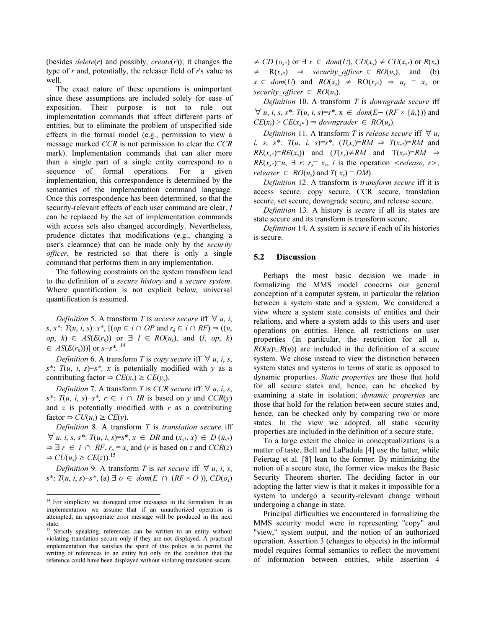(besides  $delete(r)$  and possibly,  $create(r)$ ); it changes the type of  $r$  and, potentially, the releaser field of  $r$ 's value as well.

The exact nature of these operations is unimportant since these assumptions are included solely for ease of exposition. Their purpose is not to rule out implementation commands that affect different parts of entities, but to eliminate the problem of unspecified side effects in the formal model (e.g., permission to view a message marked CCR is not permission to clear the CCR mark). Implementation commands that can alter more than a single part of a single entity correspond to a sequence of formal operations. For a given implementation, this correspondence is determined by the semantics of the implementation command language. Once this correspondence has been determined, so that the security-relevant effects of each user command are clear, I can be replaced by the set of implementation commands with access sets also changed accordingly. Nevertheless, prudence dictates that modifications (e.g., changing a user's clearance) that can be made only by the *security* officer, be restricted so that there is only a single command that performs them in any implementation.

The following constraints on the system transform lead to the definition of a secure history and a secure system. Where quantification is not explicit below, universal quantification is assumed.

Definition 5. A transform T is access secure iff  $\forall u$ , i, s, s\*:  $T(u, i, s) = s^*$ ,  $[ (op \in i \cap OP \text{ and } r_k \in i \cap RF ) \Rightarrow ( (u,$ *op*,  $k$ ) ∈  $AS(E(r_k))$  or  $\exists$   $l$  ∈  $RO(u_s)$ , and  $(l, op, k)$  $\in AS(E(r_k)))$ ] or  $s=s^*$ . <sup>14</sup>

Definition 6. A transform T is copy secure iff  $\forall u$ , i, s, s\*:  $T(u, i, s)=s$ , x is potentially modified with y as a contributing factor  $\Rightarrow$   $CE(x_s) \geq CE(y_s)$ .

Definition 7. A transform T is CCR secure iff  $\forall u, i, s$ , s\*:  $T(u, i, s)=s^*, r \in i \cap IR$  is based on y and  $CCR(y)$ and  $z$  is potentially modified with  $r$  as a contributing factor  $\Rightarrow CU(u_s) \geq CE(y)$ .

Definition 8. A transform  $T$  is translation secure iff  $\forall u, i, s, s^* : T(u, i, s) = s^*, x \in DR$  and  $(x_{s^*}, x) \in D(\hat{u}_{s^*})$  $\Rightarrow \exists r \in i \cap RF$ ,  $r_s = x_s$  and (*r* is based on *z* and *CCR(z)*  $\Rightarrow CU(u_s) \geq CE(z)$ .<sup>15</sup>

Definition 9. A transform T is set secure iff  $\forall u, i, s$ , s\*:  $T(u, i, s) = s^*$ , (a)  $\exists o \in dom(E \cap (RF \times O))$ ,  $CD(o_s)$ 

-

 $\neq CD$  ( $o_{s*}$ ) or  $\exists x \in dom(U), CU(x_s) \neq CU(x_s)$  or  $R(x_s)$ ≠ R( $x_s$ \*) ⇒ *security officer* ∈ RO( $u_s$ ); and (b)  $x \in dom(U)$  and  $RO(x_s) \neq RO(x_{s^*}) \Rightarrow u_s = x_s$  or security officer  $\in RO(u_s)$ .

Definition 10. A transform  $T$  is downgrade secure iff  $\forall u, i, s, s^*: T(u, i, s)=s^*, x \in dom(E-(RF\times{\hat{u}_s}))$  and  $CE(x_s)$  >  $CE(x_{s^*}) \Rightarrow downward \in RO(u_s)$ .

Definition 11. A transform T is release secure iff  $\forall u$ , i, s, s\*:  $T(u, i, s) = s^*$ ,  $(T(x_s) = RM \Rightarrow T(x_{s^*}) = RM$  and  $RE(x<sub>s</sub>*)=RE(x<sub>s</sub>)$  and  $(T(x<sub>s</sub>)\neq RM$  and  $T(x<sub>s</sub>*)=RM \Rightarrow$  $RE(x<sub>s</sub>*)=u, \exists r: r<sub>s</sub>=x<sub>s</sub>, i$  is the operation  $\leq$ release, r>, releaser  $\in RO(u_s)$  and  $T(x_s) = DM$ .

Definition 12. A transform is transform secure iff it is access secure, copy secure, CCR secure, translation secure, set secure, downgrade secure, and release secure.

Definition 13. A history is secure if all its states are state secure and its transform is transform secure.

Definition 14. A system is *secure* if each of its histories is secure.

### 5.2 Discussion

Perhaps the most basic decision we made in formalizing the MMS model concerns our general conception of a computer system, in particular the relation between a system state and a system. We considered a view where a system state consists of entities and their relations, and where a system adds to this users and user operations on entities. Hence, all restrictions on user properties (in particular, the restriction for all  $u$ ,  $RO(u) \subseteq R(u)$  are included in the definition of a secure system. We chose instead to view the distinction between system states and systems in terms of static as opposed to dynamic properties. Static properties are those that hold for all secure states and, hence, can be checked by examining a state in isolation; *dynamic properties* are those that hold for the relation between secure states and, hence, can be checked only by comparing two or more states. In the view we adopted, all static security properties are included in the definition of a secure state.

To a large extent the choice in conceptualizations is a matter of taste. Bell and LaPadula [4] use the latter, while Feiertag et al. [8] lean to the former. By minimizing the notion of a secure state, the former view makes the Basic Security Theorem shorter. The deciding factor in our adopting the latter view is that it makes it impossible for a system to undergo a security-relevant change without undergoing a change in state.

Principal difficulties we encountered in formalizing the MMS security model were in representing "copy" and "view," system output, and the notion of an authorized operation. Assertion 3 (changes to objects) in the informal model requires formal semantics to reflect the movement of information between entities, while assertion 4

<sup>&</sup>lt;sup>14</sup> For simplicity we disregard error messages in the formalism. In an implementation we assume that if an unauthorized operation is attempted, an appropriate error message will be produced in the next state.

<sup>&</sup>lt;sup>15</sup> Strictly speaking, references can be written to an entity without violating translation secure only if they are not displayed. A practical implementation that satisfies the spirit of this policy is to permit the writing of references to an entity but only on the condition that the reference could have been displayed without violating translation secure.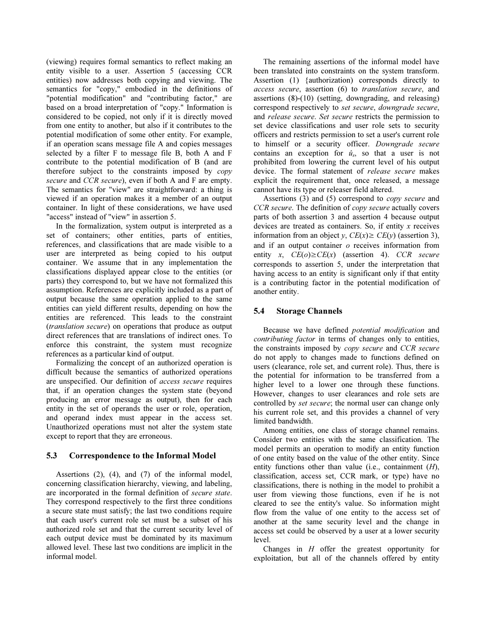(viewing) requires formal semantics to reflect making an entity visible to a user. Assertion 5 (accessing CCR entities) now addresses both copying and viewing. The semantics for "copy," embodied in the definitions of "potential modification" and "contributing factor," are based on a broad interpretation of "copy." Information is considered to be copied, not only if it is directly moved from one entity to another, but also if it contributes to the potential modification of some other entity. For example, if an operation scans message file A and copies messages selected by a filter F to message file B, both A and F contribute to the potential modification of B (and are therefore subject to the constraints imposed by copy secure and CCR secure), even if both A and F are empty. The semantics for "view" are straightforward: a thing is viewed if an operation makes it a member of an output container. In light of these considerations, we have used "access" instead of "view" in assertion 5.

In the formalization, system output is interpreted as a set of containers; other entities, parts of entities, references, and classifications that are made visible to a user are interpreted as being copied to his output container. We assume that in any implementation the classifications displayed appear close to the entities (or parts) they correspond to, but we have not formalized this assumption. References are explicitly included as a part of output because the same operation applied to the same entities can yield different results, depending on how the entities are referenced. This leads to the constraint (translation secure) on operations that produce as output direct references that are translations of indirect ones. To enforce this constraint, the system must recognize references as a particular kind of output.

Formalizing the concept of an authorized operation is difficult because the semantics of authorized operations are unspecified. Our definition of access secure requires that, if an operation changes the system state (beyond producing an error message as output), then for each entity in the set of operands the user or role, operation, and operand index must appear in the access set. Unauthorized operations must not alter the system state except to report that they are erroneous.

# 5.3 Correspondence to the Informal Model

Assertions (2), (4), and (7) of the informal model, concerning classification hierarchy, viewing, and labeling, are incorporated in the formal definition of secure state. They correspond respectively to the first three conditions a secure state must satisfy; the last two conditions require that each user's current role set must be a subset of his authorized role set and that the current security level of each output device must be dominated by its maximum allowed level. These last two conditions are implicit in the informal model.

The remaining assertions of the informal model have been translated into constraints on the system transform. Assertion (1) {authorization) corresponds directly to access secure, assertion (6) to translation secure, and assertions (8)-(10) (setting, downgrading, and releasing) correspond respectively to set secure, downgrade secure, and release secure. Set secure restricts the permission to set device classifications and user role sets to security officers and restricts permission to set a user's current role to himself or a security officer. Downgrade secure contains an exception for  $\hat{u}_s$ , so that a user is not prohibited from lowering the current level of his output device. The formal statement of release secure makes explicit the requirement that, once released, a message cannot have its type or releaser field altered.

Assertions (3) and (5) correspond to *copy secure* and CCR secure. The definition of copy secure actually covers parts of both assertion 3 and assertion 4 because output devices are treated as containers. So, if entity  $x$  receives information from an object y,  $CE(x) \geq CE(y)$  (assertion 3), and if an output container  $o$  receives information from entity x,  $CE(o) \geq CE(x)$  (assertion 4). CCR secure corresponds to assertion 5, under the interpretation that having access to an entity is significant only if that entity is a contributing factor in the potential modification of another entity.

### 5.4 Storage Channels

Because we have defined potential modification and contributing factor in terms of changes only to entities, the constraints imposed by copy secure and CCR secure do not apply to changes made to functions defined on users (clearance, role set, and current role). Thus, there is the potential for information to be transferred from a higher level to a lower one through these functions. However, changes to user clearances and role sets are controlled by set secure; the normal user can change only his current role set, and this provides a channel of very limited bandwidth.

Among entities, one class of storage channel remains. Consider two entities with the same classification. The model permits an operation to modify an entity function of one entity based on the value of the other entity. Since entity functions other than value (i.e., containment (H), classification, access set, CCR mark, or type) have no classifications, there is nothing in the model to prohibit a user from viewing those functions, even if he is not cleared to see the entity's value. So information might flow from the value of one entity to the access set of another at the same security level and the change in access set could be observed by a user at a lower security level.

Changes in  $H$  offer the greatest opportunity for exploitation, but all of the channels offered by entity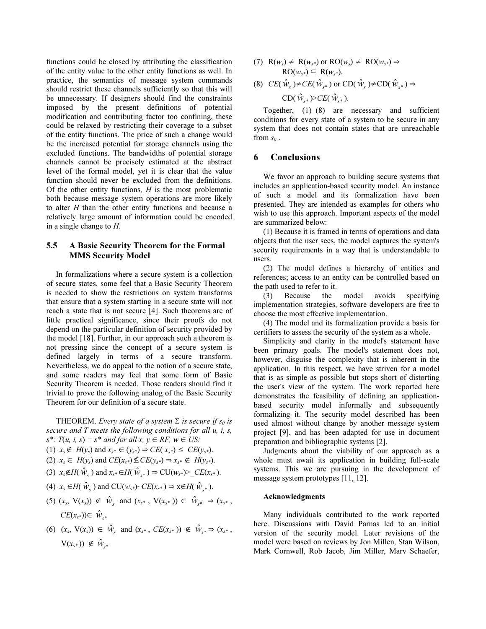functions could be closed by attributing the classification of the entity value to the other entity functions as well. In practice, the semantics of message system commands should restrict these channels sufficiently so that this will be unnecessary. If designers should find the constraints imposed by the present definitions of potential modification and contributing factor too confining, these could be relaxed by restricting their coverage to a subset of the entity functions. The price of such a change would be the increased potential for storage channels using the excluded functions. The bandwidths of potential storage channels cannot be precisely estimated at the abstract level of the formal model, yet it is clear that the value function should never be excluded from the definitions. Of the other entity functions,  $H$  is the most problematic both because message system operations are more likely to alter  $H$  than the other entity functions and because a relatively large amount of information could be encoded in a single change to H.

# 5.5 A Basic Security Theorem for the Formal MMS Security Model

In formalizations where a secure system is a collection of secure states, some feel that a Basic Security Theorem is needed to show the restrictions on system transforms that ensure that a system starting in a secure state will not reach a state that is not secure [4]. Such theorems are of little practical significance, since their proofs do not depend on the particular definition of security provided by the model [18]. Further, in our approach such a theorem is not pressing since the concept of a secure system is defined largely in terms of a secure transform. Nevertheless, we do appeal to the notion of a secure state, and some readers may feel that some form of Basic Security Theorem is needed. Those readers should find it trivial to prove the following analog of the Basic Security Theorem for our definition of a secure state.

THEOREM. Every state of a system  $\Sigma$  is secure if  $s_0$  is secure and T meets the following conditions for all  $u$ ,  $i$ ,  $s$ ,  $s^*$ :  $T(u, i, s) = s^*$  and for all  $x, y \in RF$ ,  $w \in US$ :

- (1)  $x_s \notin H(y_s)$  and  $x_{s^*} \in (y_{s^*}) \Rightarrow CE(x_{s^*}) \leq CE(y_{s^*}).$
- (2)  $x_s \in H(y_s)$  and  $CE(x_{s^*}) \nleq CE(y_{s^*}) \Rightarrow x_{s^*} \notin H(y_{s^*}).$
- (3)  $x_s \notin H(\hat{W}_s)$  and  $x_{s^*} \in H(\hat{W}_{s^*}) \Rightarrow \text{CU}(W_{s^*}) > CE(x_{s^*}).$
- (4)  $x_s \in H(\hat{W}_s)$  and  $CU(w_{s*}) \sim CE(x_{s*}) \Rightarrow x \notin H(\hat{W}_{s*})$ .
- (5)  $(x_s, V(x_s)) \notin \hat{W}_s$  and  $(x_{s^*}, V(x_{s^*})) \in \hat{W}_{s^*} \Rightarrow (x_{s^*}, V(x_s))$  $CE(x,)) \in \hat{W}_{\infty}$
- (6)  $(x_s, V(x_s)) \in \hat{W}_s$  and  $(x_{s^*}, CE(x_{s^*})) \notin \hat{W}_{s^*} \Rightarrow (x_{s^*}, E(x_s))$  $V(x_{s^*})) \notin \hat{W}_{s^*}$
- (7)  $R(w_s) \neq R(w_{s^*})$  or  $RO(w_s) \neq RO(w_{s^*}) \Rightarrow$  $RO(w_{s^*}) \subseteq R(w_{s^*}).$
- (8)  $CE(\hat{W}_{s}) \neq CE(\hat{W}_{s*})$  or  $CD(\hat{W}_{s}) \neq CD(\hat{W}_{s*}) \Rightarrow$

 $CD( $\hat{W}_{\alpha*}$ ) > CE( $\hat{W}_{\alpha*}$ ).$ 

Together,  $(1)$ – $(8)$  are necessary and sufficient conditions for every state of a system to be secure in any system that does not contain states that are unreachable from  $s_0$ .

# 6 Conclusions

We favor an approach to building secure systems that includes an application-based security model. An instance of such a model and its formalization have been presented. They are intended as examples for others who wish to use this approach. Important aspects of the model are summarized below:

(1) Because it is framed in terms of operations and data objects that the user sees, the model captures the system's security requirements in a way that is understandable to users.

(2) The model defines a hierarchy of entities and references; access to an entity can be controlled based on the path used to refer to it.

(3) Because the model avoids specifying implementation strategies, software developers are free to choose the most effective implementation.

(4) The model and its formalization provide a basis for certifiers to assess the security of the system as a whole.

Simplicity and clarity in the model's statement have been primary goals. The model's statement does not, however, disguise the complexity that is inherent in the application. In this respect, we have striven for a model that is as simple as possible but stops short of distorting the user's view of the system. The work reported here demonstrates the feasibility of defining an applicationbased security model informally and subsequently formalizing it. The security model described has been used almost without change by another message system project [9], and has been adapted for use in document preparation and bibliographic systems [2].

Judgments about the viability of our approach as a whole must await its application in building full-scale systems. This we are pursuing in the development of message system prototypes [11, 12].

#### Acknowledgments

Many individuals contributed to the work reported here. Discussions with David Parnas led to an initial version of the security model. Later revisions of the model were based on reviews by Jon Millen, Stan Wilson, Mark Cornwell, Rob Jacob, Jim Miller, Marv Schaefer,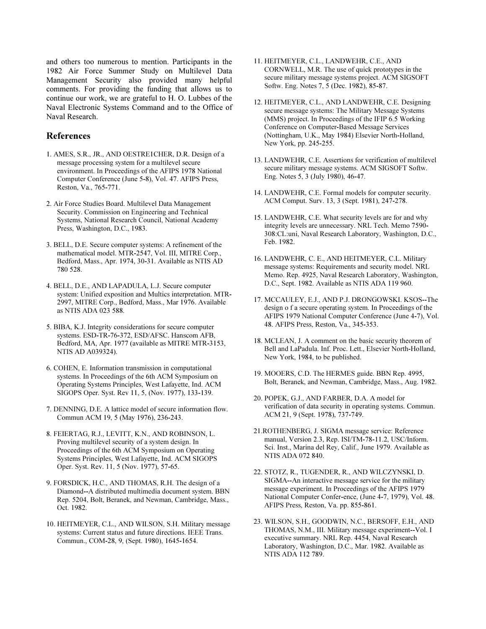and others too numerous to mention. Participants in the 1982 Air Force Summer Study on Multilevel Data Management Security also provided many helpful comments. For providing the funding that allows us to continue our work, we are grateful to H. O. Lubbes of the Naval Electronic Systems Command and to the Office of Naval Research.

# References

- 1. AMES, S.R., JR., AND OESTRE1CHER, D.R. Design of a message processing system for a multilevel secure environment. In Proceedings of the AFIPS 1978 National Computer Conference (June 5-8), Vol. 47. AFIPS Press, Reston, Va., 765-771.
- 2. Air Force Studies Board. Multilevel Data Management Security. Commission on Engineering and Technical Systems, National Research Council, National Academy Press, Washington, D.C., 1983.
- 3. BELL, D.E. Secure computer systems: A refinement of the mathematical model. MTR-2547, Vol. III, MITRE Corp., Bedford, Mass., Apr. 1974, 30-31. Available as NTIS AD 780 528.
- 4. BELL, D.E., AND LAPADULA, L.J. Secure computer system: Unified exposition and Multics interpretation. MTR-2997, MITRE Corp., Bedford, Mass., Mar 1976. Available as NTIS ADA 023 588.
- 5. BIBA, K.J. Integrity considerations for secure computer systems. ESD-TR-76-372, ESD/AFSC. Hanscom AFB, Bedford, MA, Apr. 1977 (available as MITRE MTR-3153, NTIS AD A039324).
- 6. COHEN, E. Information transmission in computational systems. In Proceedings of the 6th ACM Symposium on Operating Systems Principles, West Lafayette, Ind. ACM SIGOPS Oper. Syst. Rev 11, 5, (Nov. 1977), 133-139.
- 7. DENNING, D.E. A lattice model of secure information flow. Commun ACM 19, 5 (May 1976), 236-243.
- 8. FEIERTAG, R.J., LEVITT, K.N., AND ROBINSON, L. Proving multilevel security of a system design. In Proceedings of the 6th ACM Symposium on Operating Systems Principles, West Lafayette, Ind. ACM SIGOPS Oper. Syst. Rev. 11, 5 (Nov. 1977), 57-65.
- 9. FORSDICK, H.C., AND THOMAS, R.H. The design of a Diamond--A distributed multimedia document system. BBN Rep. 5204, Bolt, Beranek, and Newman, Cambridge, Mass., Oct. 1982.
- 10. HEITMEYER, C.L., AND WILSON, S.H. Military message systems: Current status and future directions. IEEE Trans. Commun., COM-28, 9, (Sept. 1980), 1645-1654.
- 11. HEITMEYER, C.L., LANDWEHR, C.E., AND CORNWELL, M.R. The use of quick prototypes in the secure military message systems project. ACM SIGSOFT Softw. Eng. Notes 7, 5 (Dec. 1982), 85-87.
- 12. HEITMEYER, C.L., AND LANDWEHR, C.E. Designing secure message systems: The Military Message Systems (MMS) project. In Proceedings of the IFIP 6.5 Working Conference on Computer-Based Message Services (Nottingham, U.K., May 1984) Elsevier North-Holland, New York, pp. 245-255.
- 13. LANDWEHR, C.E. Assertions for verification of multilevel secure military message systems. ACM SIGSOFT Softw. Eng. Notes 5, 3 (July 1980), 46-47.
- 14. LANDWEHR, C.E. Formal models for computer security. ACM Comput. Surv. 13, 3 (Sept. 1981), 247-278.
- 15. LANDWEHR, C.E. What security levels are for and why integrity levels are unnecessary. NRL Tech. Memo 7590- 308:CL:uni, Naval Research Laboratory, Washington, D.C., Feb. 1982.
- 16. LANDWEHR, C. E., AND HEITMEYER, C.L. Military message systems: Requirements and security model. NRL Memo. Rep. 4925, Naval Research Laboratory, Washington, D.C., Sept. 1982. Available as NTIS ADA 119 960.
- 17. MCCAULEY, E.J., AND P.J. DRONGOWSKI. KSOS--The design o f a secure operating system. In Proceedings of the AFIPS 1979 National Computer Conference (June 4-7), Vol. 48. AFIPS Press, Reston, Va., 345-353.
- 18. MCLEAN, J. A comment on the basic security theorem of Bell and LaPadula. Inf. Proc. Lett., Elsevier North-Holland, New York, 1984, to be published.
- 19. MOOERS, C.D. The HERMES guide. BBN Rep. 4995, Bolt, Beranek, and Newman, Cambridge, Mass., Aug. 1982.
- 20. POPEK, G.J., AND FARBER, D.A. A model for verification of data security in operating systems. Commun. ACM 21, 9 (Sept. 1978), 737-749.
- 21.ROTHENBERG, J. SIGMA message service: Reference manual, Version 2.3, Rep. ISI/TM-78-11.2, USC/Inform. Sci. Inst., Marina del Rey, Calif., June 1979. Available as NTIS ADA 072 840.
- 22. STOTZ, R., TUGENDER, R., AND WILCZYNSKI, D. SIGMA--An interactive message service for the military message experiment. In Proceedings of the AFIPS 1979 National Computer Confer-ence, (June 4-7, 1979), Vol. 48. AFIPS Press, Reston, Va. pp. 855-861.
- 23. WILSON, S.H., GOODWIN, N.C., BERSOFF, E.H., AND THOMAS, N.M., III. Military message experiment--Vol. I executive summary. NRL Rep. 4454, Naval Research Laboratory, Washington, D.C., Mar. 1982. Available as NTIS ADA 112 789.